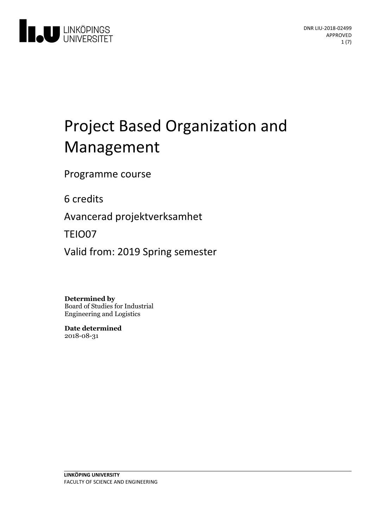

# Project Based Organization and Management

Programme course

6 credits

Avancerad projektverksamhet

TEIO07

Valid from: 2019 Spring semester

**Determined by**

Board of Studies for Industrial Engineering and Logistics

**Date determined** 2018-08-31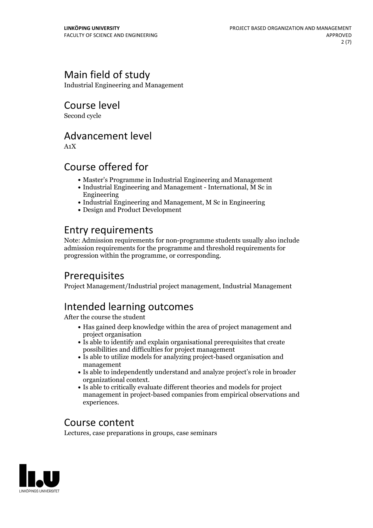# Main field of study

Industrial Engineering and Management

Course level

Second cycle

# Advancement level

A1X

# Course offered for

- Master's Programme in Industrial Engineering and Management
- Industrial Engineering and Management International, M Sc in Engineering
- Industrial Engineering and Management, M Sc in Engineering
- Design and Product Development

# Entry requirements

Note: Admission requirements for non-programme students usually also include admission requirements for the programme and threshold requirements for progression within the programme, or corresponding.

### **Prerequisites**

Project Management/Industrial project management, Industrial Management

# Intended learning outcomes

After the course the student

- Has gained deep knowledge within the area of project management and project organisation
- Is able to identify and explain organisational prerequisites that create possibilities and difficulties for project management
- Is able to utilize models for analyzing project-based organisation and management
- Is able to independently understand and analyze project's role in broader organizational context. Is able to critically evaluate different theories and models for project
- management in project-based companies from empirical observations and experiences.

### Course content

Lectures, case preparations in groups, case seminars

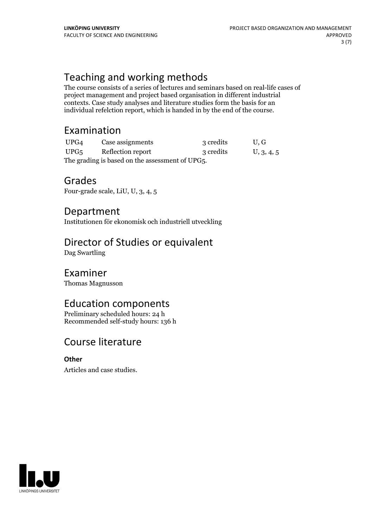# Teaching and working methods

The course consists of a series of lectures and seminars based on real-life cases of project management and project based organisation in different industrial contexts. Case study analyses and literature studies form the basis for an individual refelction report, which is handed in by the end of the course.

### Examination

| UPG4                                            | Case assignments  | 3 credits | U.G        |
|-------------------------------------------------|-------------------|-----------|------------|
| UPG5                                            | Reflection report | 3 credits | U, 3, 4, 5 |
| The grading is based on the assessment of UPG5. |                   |           |            |

### Grades

Four-grade scale, LiU, U, 3, 4, 5

### Department

Institutionen för ekonomisk och industriell utveckling

# Director of Studies or equivalent

Dag Swartling

### Examiner

Thomas Magnusson

# Education components

Preliminary scheduled hours: 24 h Recommended self-study hours: 136 h

### Course literature

**Other**

Articles and case studies.

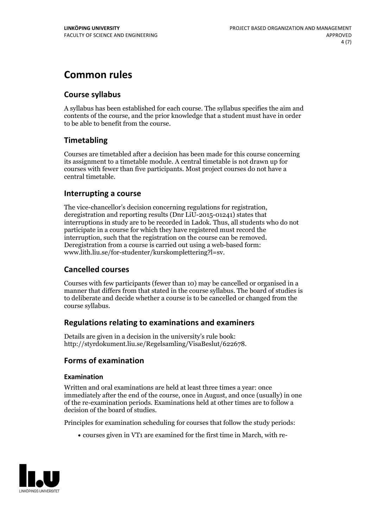# **Common rules**

### **Course syllabus**

A syllabus has been established for each course. The syllabus specifies the aim and contents of the course, and the prior knowledge that a student must have in order to be able to benefit from the course.

### **Timetabling**

Courses are timetabled after a decision has been made for this course concerning its assignment to a timetable module. A central timetable is not drawn up for courses with fewer than five participants. Most project courses do not have a central timetable.

### **Interrupting a course**

The vice-chancellor's decision concerning regulations for registration, deregistration and reporting results (Dnr LiU-2015-01241) states that interruptions in study are to be recorded in Ladok. Thus, all students who do not participate in a course for which they have registered must record the interruption, such that the registration on the course can be removed. Deregistration from <sup>a</sup> course is carried outusing <sup>a</sup> web-based form: www.lith.liu.se/for-studenter/kurskomplettering?l=sv.

### **Cancelled courses**

Courses with few participants (fewer than 10) may be cancelled or organised in a manner that differs from that stated in the course syllabus. The board of studies is to deliberate and decide whether a course is to be cancelled orchanged from the course syllabus.

### **Regulations relatingto examinations and examiners**

Details are given in a decision in the university's rule book: http://styrdokument.liu.se/Regelsamling/VisaBeslut/622678.

### **Forms of examination**

#### **Examination**

Written and oral examinations are held at least three times a year: once immediately after the end of the course, once in August, and once (usually) in one of the re-examination periods. Examinations held at other times are to follow a decision of the board of studies.

Principles for examination scheduling for courses that follow the study periods:

courses given in VT1 are examined for the first time in March, with re-

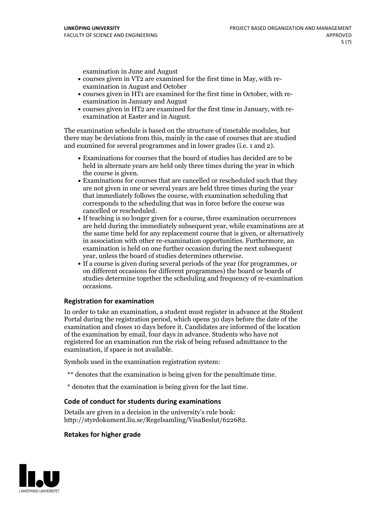examination in June and August

- courses given in VT2 are examined for the first time in May, with re-examination in August and October
- courses given in HT1 are examined for the first time in October, with re-examination in January and August
- courses given in HT2 are examined for the first time in January, with re-examination at Easter and in August.

The examination schedule is based on the structure of timetable modules, but there may be deviations from this, mainly in the case of courses that are studied and examined for several programmes and in lower grades (i.e. 1 and 2).

- Examinations for courses that the board of studies has decided are to be held in alternate years are held only three times during the year in which
- the course is given.<br>• Examinations for courses that are cancelled or rescheduled such that they are not given in one or several years are held three times during the year that immediately follows the course, with examination scheduling that corresponds to the scheduling that was in force before the course was cancelled or rescheduled.<br>• If teaching is no longer given for a course, three examination occurrences
- are held during the immediately subsequent year, while examinations are at the same time held for any replacement course that is given, or alternatively in association with other re-examination opportunities. Furthermore, an examination is held on one further occasion during the next subsequent year, unless the board of studies determines otherwise.<br>• If a course is given during several periods of the year (for programmes, or
- on different occasions for different programmes) the board orboards of studies determine together the scheduling and frequency of re-examination occasions.

#### **Registration for examination**

In order to take an examination, a student must register in advance at the Student Portal during the registration period, which opens 30 days before the date of the examination and closes 10 days before it. Candidates are informed of the location of the examination by email, four days in advance. Students who have not registered for an examination run the risk of being refused admittance to the examination, if space is not available.

Symbols used in the examination registration system:

- \*\* denotes that the examination is being given for the penultimate time.
- \* denotes that the examination is being given for the last time.

#### **Code of conduct for students during examinations**

Details are given in a decision in the university's rule book: http://styrdokument.liu.se/Regelsamling/VisaBeslut/622682.

### **Retakes for higher grade**

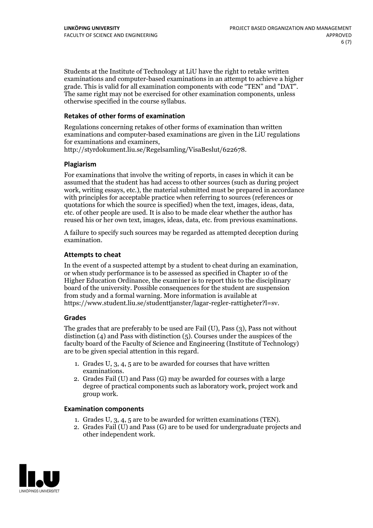Students at the Institute of Technology at LiU have the right to retake written examinations and computer-based examinations in an attempt to achieve a higher grade. This is valid for all examination components with code "TEN" and "DAT". The same right may not be exercised for other examination components, unless otherwise specified in the course syllabus.

### **Retakes of other forms of examination**

Regulations concerning retakes of other forms of examination than written examinations and computer-based examinations are given in the LiU regulations for examinations and examiners, http://styrdokument.liu.se/Regelsamling/VisaBeslut/622678.

#### **Plagiarism**

For examinations that involve the writing of reports, in cases in which it can be assumed that the student has had access to other sources (such as during project work, writing essays, etc.), the material submitted must be prepared in accordance with principles for acceptable practice when referring to sources (references or quotations for which the source is specified) when the text, images, ideas, data, etc. of other people are used. It is also to be made clear whether the author has reused his or her own text, images, ideas, data, etc. from previous examinations.

A failure to specify such sources may be regarded as attempted deception during examination.

#### **Attempts to cheat**

In the event of <sup>a</sup> suspected attempt by <sup>a</sup> student to cheat during an examination, or when study performance is to be assessed as specified in Chapter <sup>10</sup> of the Higher Education Ordinance, the examiner is to report this to the disciplinary board of the university. Possible consequences for the student are suspension from study and a formal warning. More information is available at https://www.student.liu.se/studenttjanster/lagar-regler-rattigheter?l=sv.

#### **Grades**

The grades that are preferably to be used are Fail (U), Pass (3), Pass not without distinction  $(4)$  and Pass with distinction  $(5)$ . Courses under the auspices of the faculty board of the Faculty of Science and Engineering (Institute of Technology) are to be given special attention in this regard.

- 1. Grades U, 3, 4, 5 are to be awarded for courses that have written
- examinations. 2. Grades Fail (U) and Pass (G) may be awarded for courses with <sup>a</sup> large degree of practical components such as laboratory work, project work and group work.

#### **Examination components**

- 
- 1. Grades U, 3, 4, <sup>5</sup> are to be awarded for written examinations (TEN). 2. Grades Fail (U) and Pass (G) are to be used for undergraduate projects and other independent work.